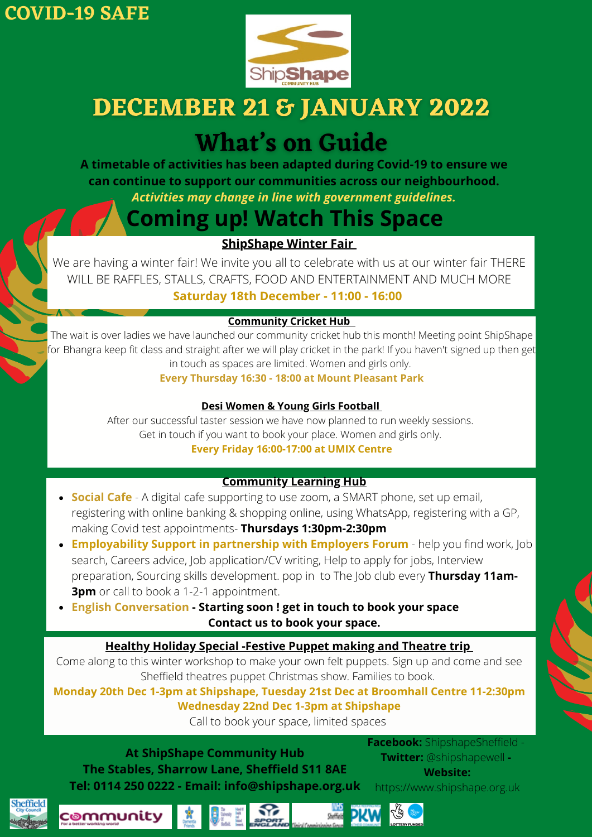

# **DECEMBER 21 & JANUARY 2022**

# **What's on Guide**

**A timetable of activities has been adapted during Covid-19 to ensure we can continue to support our communities across our neighbourhood.** *Activities may change in line with government guidelines.*

# **Coming up! Watch This Space**

# **ShipShape Winter Fair**

We are having a winter fair! We invite you all to celebrate with us at our winter fair THERE WILL BE RAFFLES, STALLS, CRAFTS, FOOD AND ENTERTAINMENT AND MUCH MORE **Saturday 18th December - 11:00 - 16:00**

# **Community Cricket Hub**

The wait is over ladies we have launched our community cricket hub this month! Meeting point ShipShape for Bhangra keep fit class and straight after we will play cricket in the park! If you haven't signed up then get in touch as spaces are limited. Women and girls only.

**Every Thursday 16:30 - 18:00 at Mount Pleasant Park**

# **Desi Women & Young Girls Football**

After our successful taster session we have now planned to run weekly sessions. Get in touch if you want to book your place. Women and girls only. **Every Friday 16:00-17:00 at UMIX Centre**

# **Community Learning Hub**

- **Social Cafe** A digital cafe supporting to use zoom, a SMART phone, set up email, registering with online banking & shopping online, using WhatsApp, registering with a GP, making Covid test appointments- **Thursdays 1:30pm-2:30pm**
- **Employability Support in partnership with Employers Forum** help you find work, Job search, Careers advice, Job application/CV writing, Help to apply for jobs, Interview preparation, Sourcing skills development. pop in to The Job club every **Thursday 11am-3pm** or call to book a 1-2-1 appointment.
- **English Conversation - Starting soon ! get in touch to book your space Contact us to book your space.**

# **Healthy Holiday Special -Festive Puppet making and Theatre trip**

Come along to this winter workshop to make your own felt puppets. Sign up and come and see Sheffield theatres puppet Christmas show. Families to book.

**Monday 20th Dec 1-3pm at Shipshape, Tuesday 21st Dec at Broomhall Centre 11-2:30pm Wednesday 22nd Dec 1-3pm at Shipshape**

Call to book your space, limited spaces

**At ShipShape Community Hub The Stables, Sharrow Lane, Sheffield S11 8AE Tel: 0114 250 0222 - Email: info@shipshape.org.uk**

**Facebook:** ShipshapeSheffield **Twitter:** @shipshapewell **- Website:**

https://www.shipshape.org.uk



c®mmunity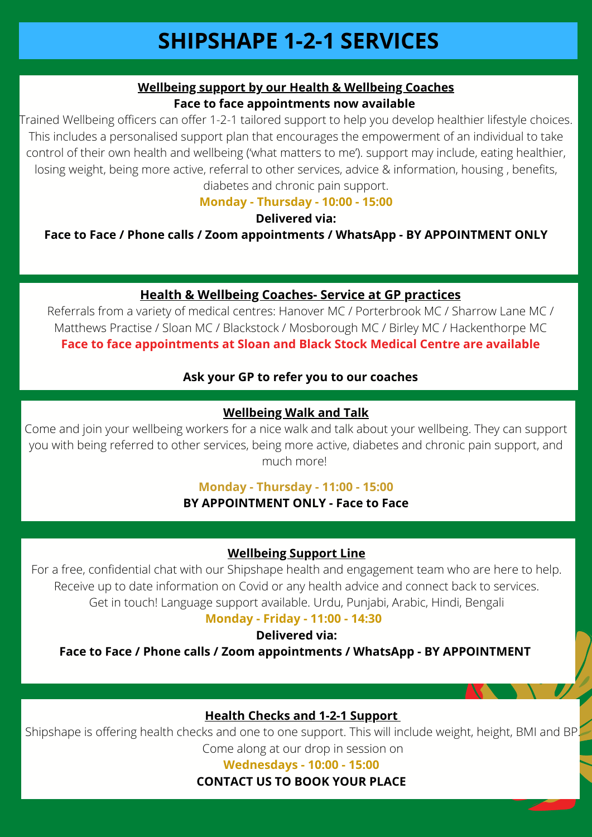# **Wellbeing support by our Health & Wellbeing Coaches Face to face appointments now available**

Trained Wellbeing officers can offer 1-2-1 tailored support to help you develop healthier lifestyle choices. This includes a personalised support plan that encourages the empowerment of an individual to take control of their own health and wellbeing ('what matters to me'). support may include, eating healthier, losing weight, being more active, referral to other services, advice & information, housing , benefits, diabetes and chronic pain support.

**Monday - Thursday - 10:00 - 15:00**

#### **Delivered via:**

**Face to Face / Phone calls / Zoom appointments / WhatsApp - BY APPOINTMENT ONLY**

# **Health & Wellbeing Coaches- Service at GP practices**

Referrals from a variety of medical centres: Hanover MC / Porterbrook MC / Sharrow Lane MC / Matthews Practise / Sloan MC / Blackstock / Mosborough MC / Birley MC / Hackenthorpe MC **Face to face appointments at Sloan and Black Stock Medical Centre are available**

# **Ask your GP to refer you to our coaches**

# **Wellbeing Walk and Talk**

Come and join your wellbeing workers for a nice walk and talk about your wellbeing. They can support you with being referred to other services, being more active, diabetes and chronic pain support, and much more!

# **Monday - Thursday - 11:00 - 15:00**

**BY APPOINTMENT ONLY - Face to Face**

# **Wellbeing Support Line**

For a free, confidential chat with our Shipshape health and engagement team who are here to help. Receive up to date information on Covid or any health advice and connect back to services. Get in touch! Language support available. Urdu, Punjabi, Arabic, Hindi, Bengali

# **Monday - Friday - 11:00 - 14:30**

**Delivered via:**

**Face to Face / Phone calls / Zoom appointments / WhatsApp - BY APPOINTMENT**

# **Health Checks and 1-2-1 Support**

Shipshape is offering health checks and one to one support. This will include weight, height, BMI and BP. Come along at our drop in session on

**Wednesdays - 10:00 - 15:00**

**CONTACT US TO BOOK YOUR PLACE**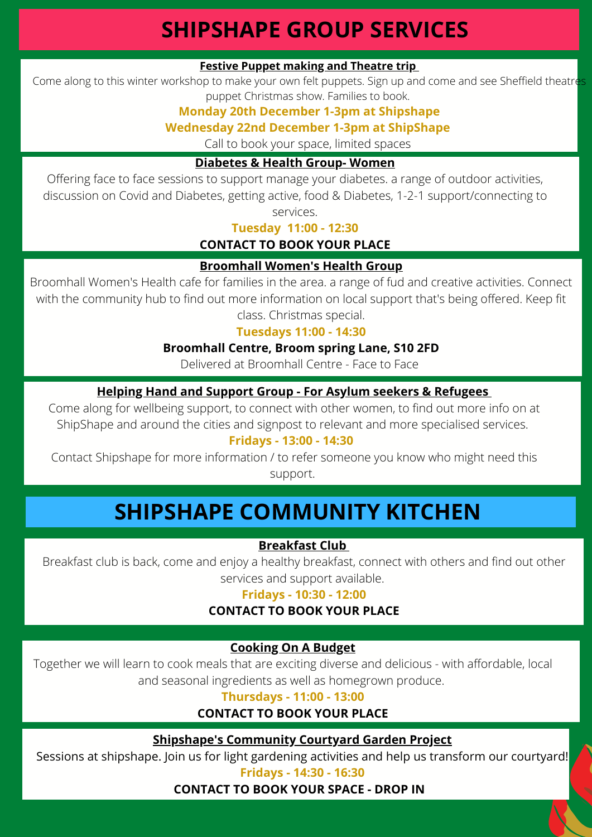# **SHIPSHAPE GROUP SERVICES**

# **Festive Puppet making and Theatre trip**

Come along to this winter workshop to make your own felt puppets. Sign up and come and see Sheffield theatres puppet Christmas show. Families to book.

# **Monday 20th December 1-3pm at Shipshape**

#### **Wednesday 22nd December 1-3pm at ShipShape**

Call to book your space, limited spaces

# **Diabetes & Health Group- Women**

Offering face to face sessions to support manage your diabetes. a range of outdoor activities, discussion on Covid and Diabetes, getting active, food & Diabetes, 1-2-1 support/connecting to

services.

**Tuesday 11:00 - 12:30**

# **CONTACT TO BOOK YOUR PLACE**

#### **Broomhall Women's Health Group**

Broomhall Women's Health cafe for families in the area. a range of fud and creative activities. Connect with the community hub to find out more information on local support that's being offered. Keep fit class. Christmas special.

#### **Tuesdays 11:00 - 14:30**

#### **Broomhall Centre, Broom spring Lane, S10 2FD**

Delivered at Broomhall Centre - Face to Face

# **Helping Hand and Support Group - For Asylum seekers & Refugees**

Come along for wellbeing support, to connect with other women, to find out more info on at ShipShape and around the cities and signpost to relevant and more specialised services.

#### **Fridays - 13:00 - 14:30**

Contact Shipshape for more information / to refer someone you know who might need this support.

# **SHIPSHAPE COMMUNITY KITCHEN**

#### **Breakfast Club**

Breakfast club is back, come and enjoy a healthy breakfast, connect with others and find out other services and support available.

#### **Fridays - 10:30 - 12:00**

# **CONTACT TO BOOK YOUR PLACE**

#### **Cooking On A Budget**

Together we will learn to cook meals that are exciting diverse and delicious - with affordable, local and seasonal ingredients as well as homegrown produce.

#### **Thursdays - 11:00 - 13:00**

# **CONTACT TO BOOK YOUR PLACE**

#### **Shipshape's Community Courtyard Garden Project**

Sessions at shipshape. Join us for light gardening activities and help us transform our courtyard!

#### **Fridays - 14:30 - 16:30**

#### **CONTACT TO BOOK YOUR SPACE - DROP IN**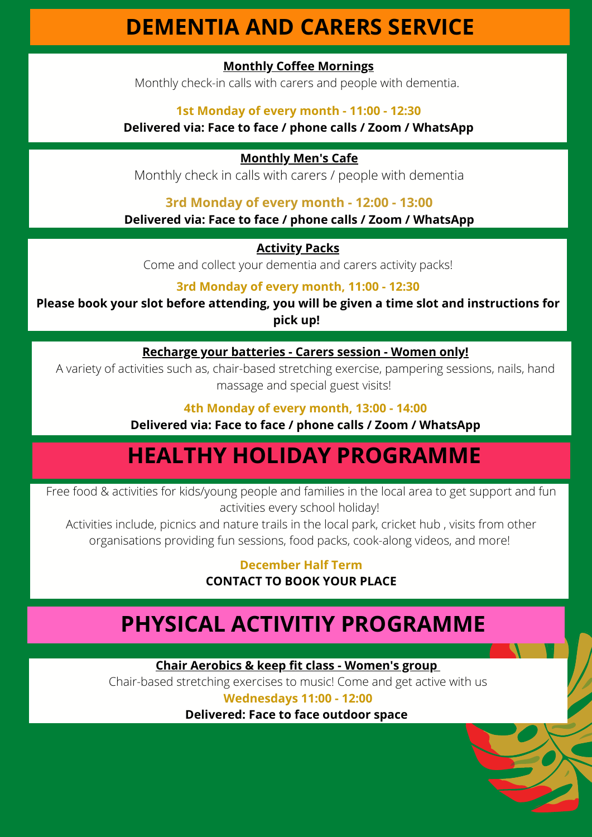# **DEMENTIA AND CARERS SERVICE**

# **Monthly Coffee Mornings**

Monthly check-in calls with carers and people with dementia.

### **1st Monday of every month - 11:00 - 12:30**

# **Delivered via: Face to face / phone calls / Zoom / WhatsApp**

### **Monthly Men's Cafe**

Monthly check in calls with carers / people with dementia

# **3rd Monday of every month - 12:00 - 13:00**

**Delivered via: Face to face / phone calls / Zoom / WhatsApp**

# **Activity Packs**

Come and collect your dementia and carers activity packs!

# **3rd Monday of every month, 11:00 - 12:30**

**Please book your slot before attending, you will be given a time slot and instructions for pick up!**

# **Recharge your batteries - Carers session - Women only!**

A variety of activities such as, chair-based stretching exercise, pampering sessions, nails, hand massage and special guest visits!

# **4th Monday of every month, 13:00 - 14:00**

**Delivered via: Face to face / phone calls / Zoom / WhatsApp**

# **HEALTHY HOLIDAY PROGRAMME**

Free food & activities for kids/young people and families in the local area to get support and fun activities every school holiday!

Activities include, picnics and nature trails in the local park, cricket hub , visits from other organisations providing fun sessions, food packs, cook-along videos, and more!

# **December Half Term CONTACT TO BOOK YOUR PLACE**

# **PHYSICAL ACTIVITIY PROGRAMME**

**Chair Aerobics & keep fit class - Women's group**

Chair-based stretching exercises to music! Come and get active with us

# **Wednesdays 11:00 - 12:00**

**Delivered: Face to face outdoor space**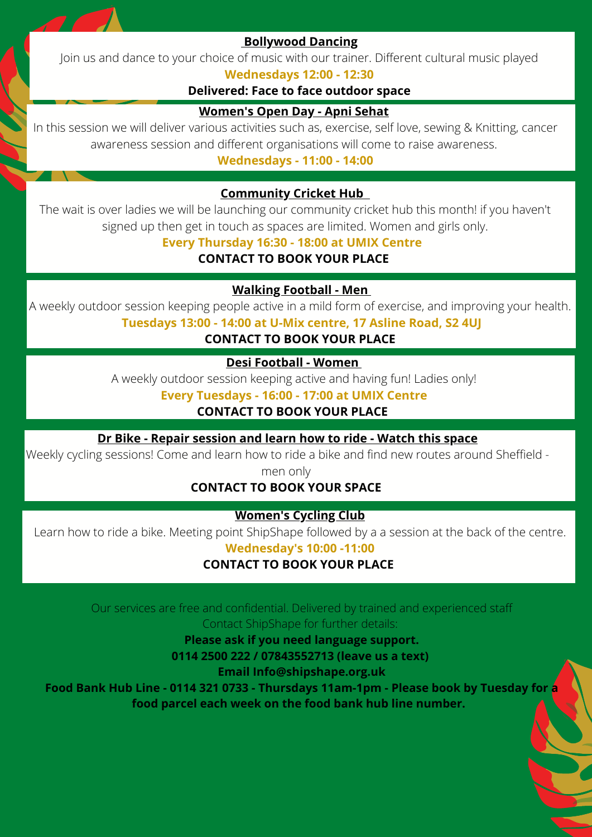

# **Bollywood Dancing**

Join us and dance to your choice of music with our trainer. Different cultural music played

#### **Wednesdays 12:00 - 12:30**

#### **Delivered: Face to face outdoor space**

# **Women's Open Day - Apni Sehat**

In this session we will deliver various activities such as, exercise, self love, sewing & Knitting, cancer awareness session and different organisations will come to raise awareness.

**Wednesdays - 11:00 - 14:00**

# **Community Cricket Hub**

The wait is over ladies we will be launching our community cricket hub this month! if you haven't signed up then get in touch as spaces are limited. Women and girls only.

# **Every Thursday 16:30 - 18:00 at UMIX Centre**

**CONTACT TO BOOK YOUR PLACE**

**Walking Football - Men**

A weekly outdoor session keeping people active in a mild form of exercise, and improving your health.

**Tuesdays 13:00 - 14:00 at U-Mix centre, 17 Asline Road, S2 4UJ**

# **CONTACT TO BOOK YOUR PLACE**

# **Desi Football - Women**

A weekly outdoor session keeping active and having fun! Ladies only!

**Every Tuesdays - 16:00 - 17:00 at UMIX Centre**

# **CONTACT TO BOOK YOUR PLACE**

**Dr Bike - Repair session and learn how to ride - Watch this space**

Weekly cycling sessions! Come and learn how to ride a bike and find new routes around Sheffield -

men only

# **CONTACT TO BOOK YOUR SPACE**

# **Women's Cycling Club**

Learn how to ride a bike. Meeting point ShipShape followed by a a session at the back of the centre.

**Wednesday's 10:00 -11:00**

# **CONTACT TO BOOK YOUR PLACE**

Our services are free and confidential. Delivered by trained and experienced staff Contact ShipShape for further details:

**Please ask if you need language support.**

**0114 2500 222 / 07843552713 (leave us a text)**

**Email Info@shipshape.org.uk**

**Food Bank Hub Line - 0114 321 0733 - Thursdays 11am-1pm - Please book by Tuesday for a food parcel each week on the food bank hub line number.**